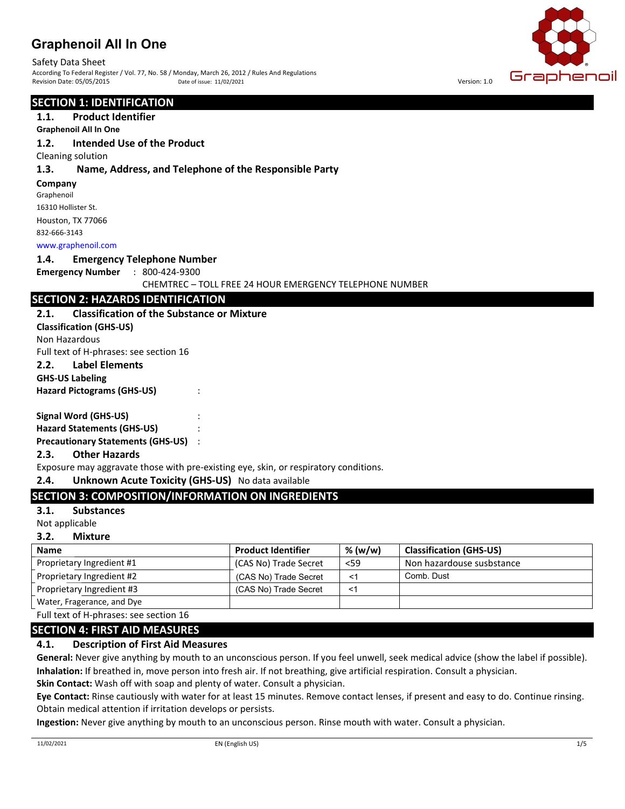## **Graphenoil All In One**

Safety Data Sheet<br>According To Federal Register / Vol. 77, No. 58 / Monday, March 26, 2012 / Rules And Regulations<br>Revision Date: 05/05/2015 Date of issue: 11/02/2021<br>Revision Date: 05/05/2015 Date of issue: 11/02/2021 According To Federal Register / Vol. 77, No. 58 / Monday, March 26, 2012 / Rules And Regulations Revision Date: 05/05/2015 **Date: 05/05/2015** Date of issue: 11/02/2021 **Date: 05/05/2015** Version: 1.0 Date of issue: 11/02/2021

#### **SECTION 1: IDENTIFICATION**

## **1.1. Product Identifier**

## **4288 Spot Delivery Graphenoil All In One**

#### **1.2. Intended Use of the Product**

Cleaning solution

#### **1.3. Name, Address, and Telephone of the Responsible Party**

#### **Company**

Graphenoil 16310 Hollister St. Houston, TX 77066 832-666-3143

www.graphenoil.com

#### **1.4. Emergency Telephone Number**

**Emergency Number** : 800-424-9300

CHEMTREC – TOLL FREE 24 HOUR EMERGENCY TELEPHONE NUMBER

#### **SECTION 2: HAZARDS IDENTIFICATION**

#### **2.1. Classification of the Substance or Mixture**

**Classification (GHS-US)**

Non Hazardous

Full text of H-phrases: see section 16

## **2.2. Label Elements**

#### **GHS-US Labeling**

**Hazard Pictograms (GHS-US)** :

#### **Signal Word (GHS-US)** :

**Hazard Statements (GHS-US)** :

**Precautionary Statements (GHS-US)** :

#### **2.3. Other Hazards**

Exposure may aggravate those with pre-existing eye, skin, or respiratory conditions.

#### **2.4. Unknown Acute Toxicity (GHS-US)** No data available

## **SECTION 3: COMPOSITION/INFORMATION ON INGREDIENTS**

#### **3.1. Substances**

Not applicable

#### **3.2. Mixture**

| <b>Name</b>                | <b>Product Identifier</b> | % (w/w)  | <b>Classification (GHS-US)</b> |
|----------------------------|---------------------------|----------|--------------------------------|
| Proprietary Ingredient #1  | (CAS No) Trade Secret     | <59      | Non hazardouse susbstance      |
| Proprietary Ingredient #2  | (CAS No) Trade Secret     | $\leq$ 1 | Comb. Dust                     |
| Proprietary Ingredient #3  | (CAS No) Trade Secret     | <′       |                                |
| Water, Fragerance, and Dye |                           |          |                                |

Full text of H-phrases: see section 16

#### **SECTION 4: FIRST AID MEASURES**

#### **4.1. Description of First Aid Measures**

**General:** Never give anything by mouth to an unconscious person. If you feel unwell, seek medical advice (show the label if possible). **Inhalation:** If breathed in, move person into fresh air. If not breathing, give artificial respiration. Consult a physician.

**Skin Contact:** Wash off with soap and plenty of water. Consult a physician.

**Eye Contact:** Rinse cautiously with water for at least 15 minutes. Remove contact lenses, if present and easy to do. Continue rinsing. Obtain medical attention if irritation develops or persists.

**Ingestion:** Never give anything by mouth to an unconscious person. Rinse mouth with water. Consult a physician.

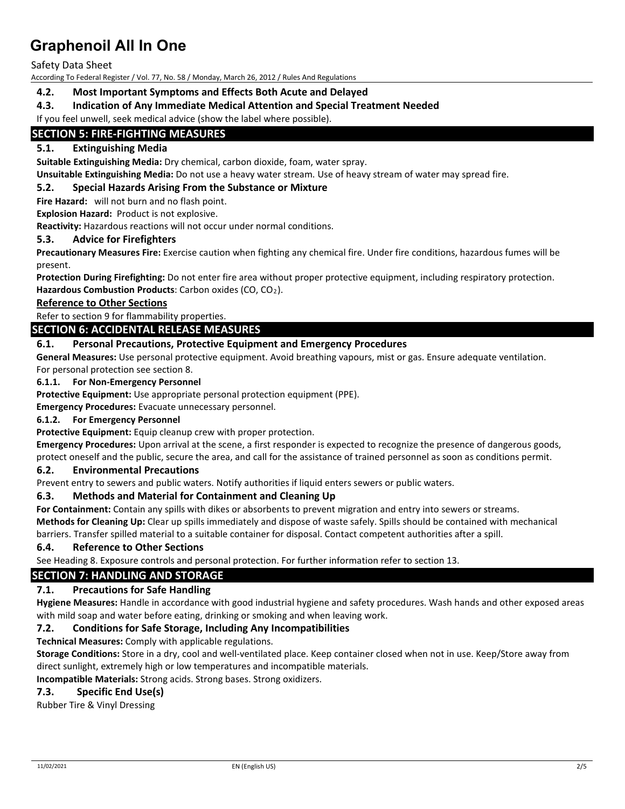Safety Data Sheet

According To Federal Register / Vol. 77, No. 58 / Monday, March 26, 2012 / Rules And Regulations

## **4.2. Most Important Symptoms and Effects Both Acute and Delayed**

## **4.3. Indication of Any Immediate Medical Attention and Special Treatment Needed**

If you feel unwell, seek medical advice (show the label where possible).

## **SECTION 5: FIRE-FIGHTING MEASURES**

## **5.1. Extinguishing Media**

**Suitable Extinguishing Media:** Dry chemical, carbon dioxide, foam, water spray.

**Unsuitable Extinguishing Media:** Do not use a heavy water stream. Use of heavy stream of water may spread fire.

#### **5.2. Special Hazards Arising From the Substance or Mixture**

**Fire Hazard:** will not burn and no flash point.

**Explosion Hazard:** Product is not explosive.

**Reactivity:** Hazardous reactions will not occur under normal conditions.

#### **5.3. Advice for Firefighters**

**Precautionary Measures Fire:** Exercise caution when fighting any chemical fire. Under fire conditions, hazardous fumes will be present.

**Protection During Firefighting:** Do not enter fire area without proper protective equipment, including respiratory protection.

Hazardous Combustion Products: Carbon oxides (CO, CO<sub>2</sub>).

## **Reference to Other Sections**

Refer to section 9 for flammability properties.

## **SECTION 6: ACCIDENTAL RELEASE MEASURES**

## **6.1. Personal Precautions, Protective Equipment and Emergency Procedures**

**General Measures:** Use personal protective equipment. Avoid breathing vapours, mist or gas. Ensure adequate ventilation. For personal protection see section 8.

#### **6.1.1. For Non-Emergency Personnel**

**Protective Equipment:** Use appropriate personal protection equipment (PPE).

**Emergency Procedures:** Evacuate unnecessary personnel.

#### **6.1.2. For Emergency Personnel**

Protective Equipment: Equip cleanup crew with proper protection.

**Emergency Procedures:** Upon arrival at the scene, a first responder is expected to recognize the presence of dangerous goods,

protect oneself and the public, secure the area, and call for the assistance of trained personnel as soon as conditions permit.

#### **6.2. Environmental Precautions**

Prevent entry to sewers and public waters. Notify authorities if liquid enters sewers or public waters.

#### **6.3. Methods and Material for Containment and Cleaning Up**

**For Containment:** Contain any spills with dikes or absorbents to prevent migration and entry into sewers or streams.

**Methods for Cleaning Up:** Clear up spills immediately and dispose of waste safely. Spills should be contained with mechanical

barriers. Transfer spilled material to a suitable container for disposal. Contact competent authorities after a spill.

#### **6.4. Reference to Other Sections**

See Heading 8. Exposure controls and personal protection. For further information refer to section 13.

#### **SECTION 7: HANDLING AND STORAGE**

#### **7.1. Precautions for Safe Handling**

**Hygiene Measures:** Handle in accordance with good industrial hygiene and safety procedures. Wash hands and other exposed areas with mild soap and water before eating, drinking or smoking and when leaving work.

#### **7.2. Conditions for Safe Storage, Including Any Incompatibilities**

**Technical Measures:** Comply with applicable regulations.

**Storage Conditions:** Store in a dry, cool and well-ventilated place. Keep container closed when not in use. Keep/Store away from direct sunlight, extremely high or low temperatures and incompatible materials.

**Incompatible Materials:** Strong acids. Strong bases. Strong oxidizers.

#### **7.3. Specific End Use(s)**

Rubber Tire & Vinyl Dressing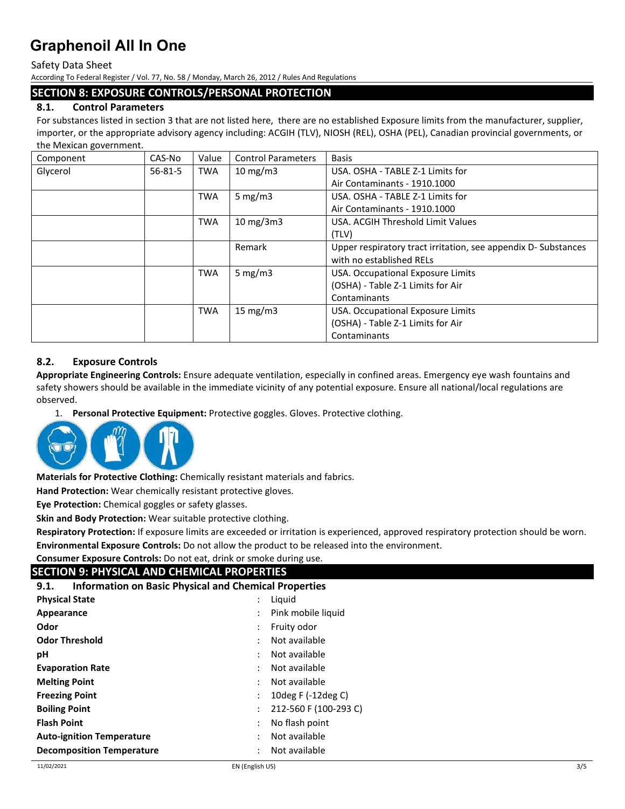Safety Data Sheet

According To Federal Register / Vol. 77, No. 58 / Monday, March 26, 2012 / Rules And Regulations

#### **SECTION 8: EXPOSURE CONTROLS/PERSONAL PROTECTION**

## **8.1. Control Parameters**

For substances listed in section 3 that are not listed here, there are no established Exposure limits from the manufacturer, supplier, importer, or the appropriate advisory agency including: ACGIH (TLV), NIOSH (REL), OSHA (PEL), Canadian provincial governments, or the Mexican government.

| Component | CAS-No        | Value      | <b>Control Parameters</b>    | <b>Basis</b>                                                  |
|-----------|---------------|------------|------------------------------|---------------------------------------------------------------|
| Glycerol  | $56 - 81 - 5$ | <b>TWA</b> | $10 \text{ mg/m}$            | USA. OSHA - TABLE Z-1 Limits for                              |
|           |               |            |                              | Air Contaminants - 1910.1000                                  |
|           |               | <b>TWA</b> | 5 mg/m $3$                   | USA. OSHA - TABLE Z-1 Limits for                              |
|           |               |            |                              | Air Contaminants - 1910.1000                                  |
|           |               | <b>TWA</b> | $10 \text{ mg}/3 \text{m}$ 3 | USA. ACGIH Threshold Limit Values                             |
|           |               |            |                              | (TLV)                                                         |
|           |               |            | Remark                       | Upper respiratory tract irritation, see appendix D-Substances |
|           |               |            |                              | with no established RELs                                      |
|           |               | <b>TWA</b> | 5 mg/m $3$                   | USA. Occupational Exposure Limits                             |
|           |               |            |                              | (OSHA) - Table Z-1 Limits for Air                             |
|           |               |            |                              | Contaminants                                                  |
|           |               | <b>TWA</b> | 15 mg/m $3$                  | USA. Occupational Exposure Limits                             |
|           |               |            |                              | (OSHA) - Table Z-1 Limits for Air                             |
|           |               |            |                              | Contaminants                                                  |

## **8.2. Exposure Controls**

**Appropriate Engineering Controls:** Ensure adequate ventilation, especially in confined areas. Emergency eye wash fountains and safety showers should be available in the immediate vicinity of any potential exposure. Ensure all national/local regulations are observed.

1. **Personal Protective Equipment:** Protective goggles. Gloves. Protective clothing.



**Materials for Protective Clothing:** Chemically resistant materials and fabrics.

**Hand Protection:** Wear chemically resistant protective gloves.

**Eye Protection:** Chemical goggles or safety glasses.

**Skin and Body Protection:** Wear suitable protective clothing.

**Respiratory Protection:** If exposure limits are exceeded or irritation is experienced, approved respiratory protection should be worn. **Environmental Exposure Controls:** Do not allow the product to be released into the environment.

#### **Consumer Exposure Controls:** Do not eat, drink or smoke during use.

| SECTION 9: PHYSICAL AND CHEMICAL PROPERTIES                          |                       |  |  |  |  |
|----------------------------------------------------------------------|-----------------------|--|--|--|--|
| <b>Information on Basic Physical and Chemical Properties</b><br>9.1. |                       |  |  |  |  |
| $\ddot{\phantom{0}}$                                                 | Liguid                |  |  |  |  |
|                                                                      | Pink mobile liquid    |  |  |  |  |
|                                                                      | Fruity odor           |  |  |  |  |
|                                                                      | Not available         |  |  |  |  |
|                                                                      | Not available         |  |  |  |  |
| $\bullet$                                                            | Not available         |  |  |  |  |
|                                                                      | Not available         |  |  |  |  |
|                                                                      | 10deg F $(-12$ deg C) |  |  |  |  |
|                                                                      | 212-560 F (100-293 C) |  |  |  |  |
|                                                                      | No flash point        |  |  |  |  |
|                                                                      | Not available         |  |  |  |  |
|                                                                      | Not available         |  |  |  |  |
|                                                                      |                       |  |  |  |  |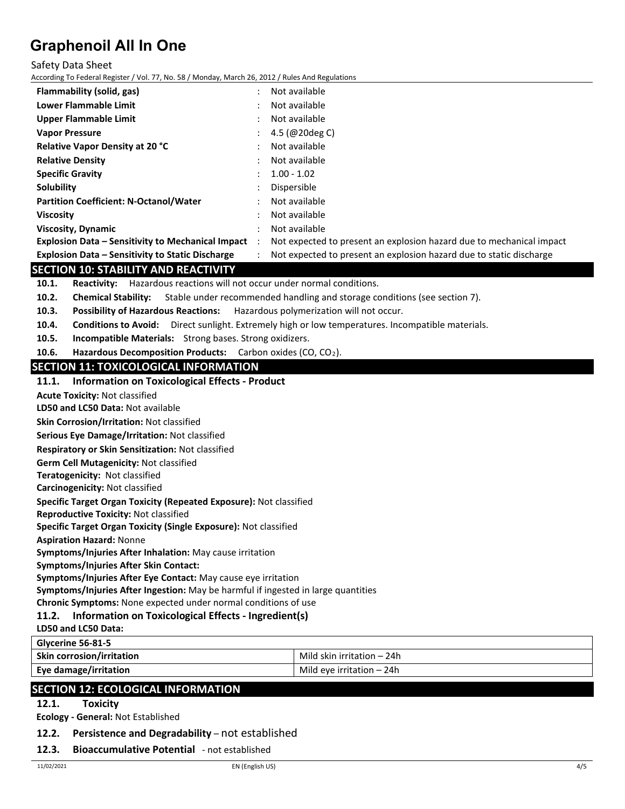#### Safety Data Sheet

According To Federal Register / Vol. 77, No. 58 / Monday, March 26, 2012 / Rules And Regulations

| Flammability (solid, gas)                                | ٠                    | Not available                                                        |
|----------------------------------------------------------|----------------------|----------------------------------------------------------------------|
| Lower Flammable Limit                                    |                      | Not available                                                        |
| Upper Flammable Limit                                    |                      | Not available                                                        |
| <b>Vapor Pressure</b>                                    |                      | 4.5 (@20deg C)                                                       |
| <b>Relative Vapor Density at 20 °C</b>                   |                      | Not available                                                        |
| <b>Relative Density</b>                                  | $\bullet$            | Not available                                                        |
| <b>Specific Gravity</b>                                  |                      | $1.00 - 1.02$                                                        |
| Solubility                                               |                      | Dispersible                                                          |
| <b>Partition Coefficient: N-Octanol/Water</b>            | $\ddot{\phantom{0}}$ | Not available                                                        |
| <b>Viscosity</b>                                         | ٠                    | Not available                                                        |
| <b>Viscosity, Dynamic</b>                                |                      | Not available                                                        |
| <b>Explosion Data – Sensitivity to Mechanical Impact</b> | $\ddot{\cdot}$       | Not expected to present an explosion hazard due to mechanical impact |
| <b>Explosion Data - Sensitivity to Static Discharge</b>  |                      | Not expected to present an explosion hazard due to static discharge  |

## **SECTION 10: STABILITY AND REACTIVITY**

**10.1. Reactivity:** Hazardous reactions will not occur under normal conditions.

- **10.2. Chemical Stability:** Stable under recommended handling and storage conditions (see section 7).
- **10.3. Possibility of Hazardous Reactions:** Hazardous polymerization will not occur.
- **10.4. Conditions to Avoid:** Direct sunlight. Extremely high or low temperatures. Incompatible materials.
- **10.5. Incompatible Materials:** Strong bases. Strong oxidizers.
- **10.6. Hazardous Decomposition Products:** Carbon oxides (CO, CO2).

## **SECTION 11: TOXICOLOGICAL INFORMATION**

#### **11.1. Information on Toxicological Effects - Product**

**Acute Toxicity:** Not classified

**LD50 and LC50 Data:** Not available

**Skin Corrosion/Irritation:** Not classified

**Serious Eye Damage/Irritation:** Not classified

**Respiratory or Skin Sensitization:** Not classified

**Germ Cell Mutagenicity:** Not classified

**Teratogenicity:** Not classified

**Carcinogenicity:** Not classified

**Specific Target Organ Toxicity (Repeated Exposure):** Not classified

**Reproductive Toxicity:** Not classified

**Specific Target Organ Toxicity (Single Exposure):** Not classified

**Aspiration Hazard:** Nonne

**Symptoms/Injuries After Inhalation:** May cause irritation

**Symptoms/Injuries After Skin Contact:**

**Symptoms/Injuries After Eye Contact:** May cause eye irritation

**Symptoms/Injuries After Ingestion:** May be harmful if ingested in large quantities

**Chronic Symptoms:** None expected under normal conditions of use

## **11.2. Information on Toxicological Effects - Ingredient(s)**

## **LD50 and LC50 Data:**

**Glycerine 56-81-5 Skin corrosion/irritation Mild skin irritation – 24h** Mild skin irritation – 24h **Eye damage/irritation** Mild eye irritation – 24h

## **SECTION 12: ECOLOGICAL INFORMATION**

**12.1. Toxicity**

**Ecology - General:** Not Established

#### **12.2. Persistence and Degradability** – not established

#### **12.3. Bioaccumulative Potential** - not established